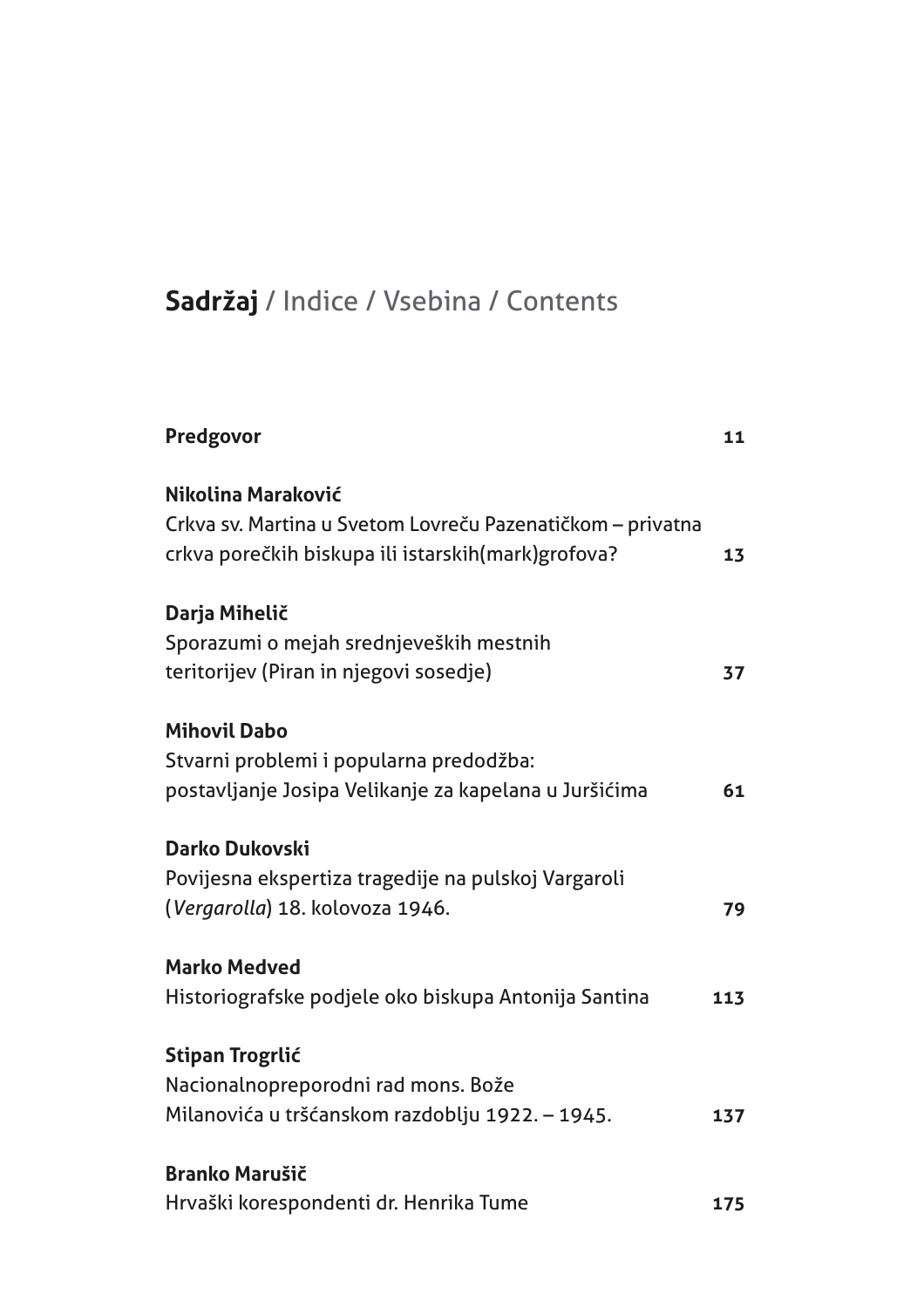## Sadržaj / Indice / Vsebina / Contents

| 11  |
|-----|
| 13  |
|     |
| 37  |
|     |
| 61  |
|     |
| 79  |
|     |
| 113 |
|     |
|     |
| 137 |
|     |
| 175 |
|     |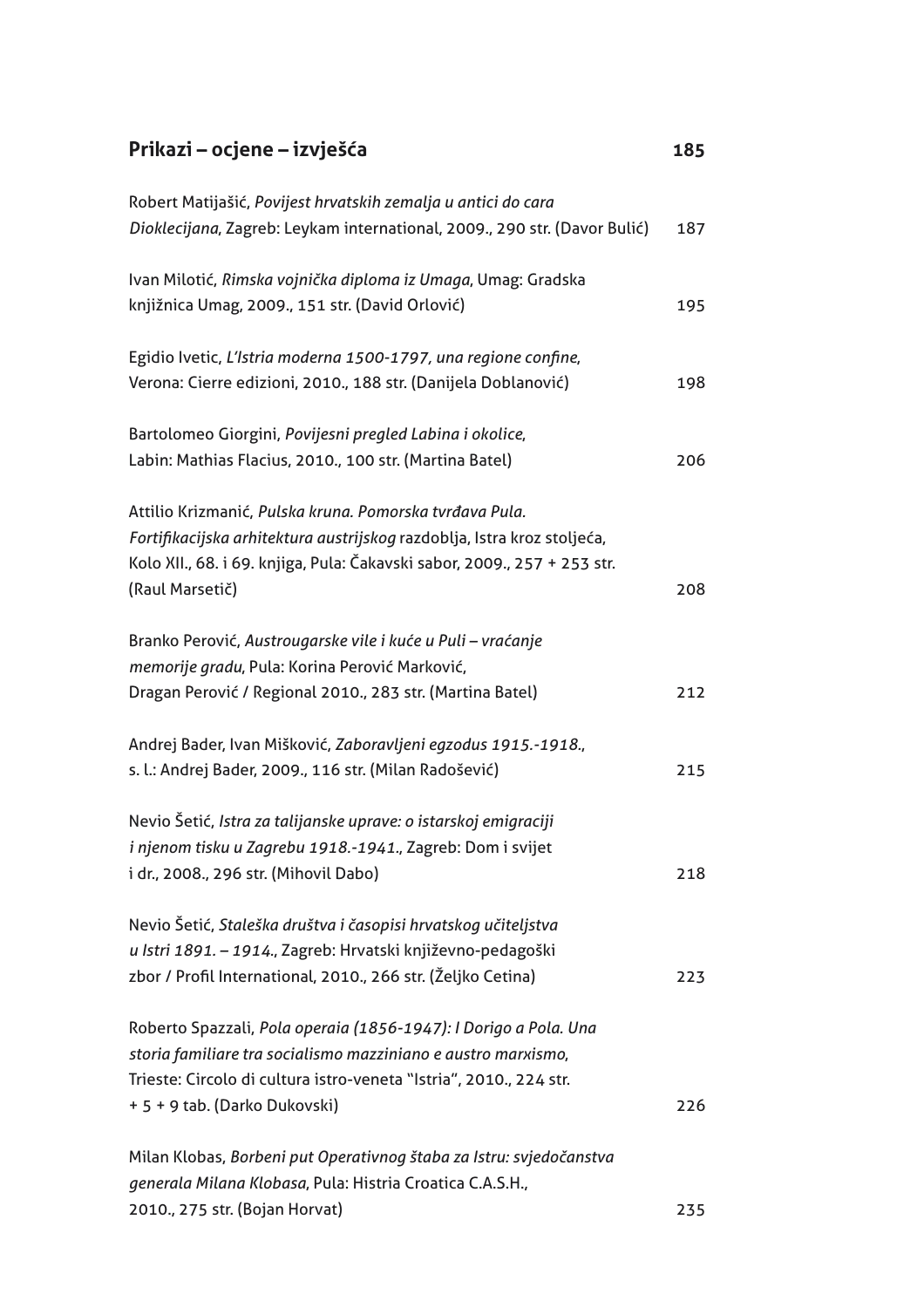## Prikazi – ocjene – izvješća 185 Robert Matijašić, Povijest hrvatskih zemalja u antici do cara Dioklecijana, Zagreb: Leykam international, 2009., 290 str. (Davor Bulić) 187 Ivan Milotić, Rimska vojnička diploma iz Umaga, Umag: Gradska knjižnica Umag, 2009., 151 str. (David Orlović) 195 Egidio Ivetic, L'Istria moderna 1500-1797, una regione confine, Verona: Cierre edizioni, 2010., 188 str. (Danijela Doblanović) 198 Bartolomeo Giorgini, Povijesni pregled Labina i okolice, Labin: Mathias Flacius, 2010., 100 str. (Martina Batel) 206 Attilio Krizmanić, Pulska kruna, Pomorska tvrđava Pula. Fortifikacijska arhitektura austrijskog razdoblja, Istra kroz stoljeća, Kolo XII., 68. i 69. knjiga, Pula: Čakavski sabor, 2009., 257 + 253 str. (Raul Marsetič) 208 Branko Perović, Austrougarske vile i kuće u Puli - vraćanje memorije gradu, Pula: Korina Perović Marković, Dragan Perović / Regional 2010., 283 str. (Martina Batel) 212 Andrej Bader, Ivan Mišković, Zaboravljeni egzodus 1915.-1918., s. l.: Andrej Bader, 2009., 116 str. (Milan Radošević) 215 Nevio Šetić, Istra za talijanske uprave: o istarskoj emigraciji i njenom tisku u Zagrebu 1918.-1941., Zagreb: Dom i svijet i dr., 2008., 296 str. (Mihovil Dabo) 218 Nevio Šetić, Staleška društva i časopisi hrvatskog učiteljstva u Istri 1891. – 1914., Zagreb: Hrvatski književno-pedagoški zbor / Profil International, 2010., 266 str. (Željko Cetina) 223 Roberto Spazzali, Pola operaia (1856-1947): I Dorigo a Pola. Una storia familiare tra socialismo mazziniano e austro marxismo, Trieste: Circolo di cultura istro-veneta "Istria", 2010., 224 str. + 5 + 9 tab. (Darko Dukovski) 226 Milan Klobas, Borbeni put Operativnog štaba za Istru: svjedočanstva generala Milana Klobasa, Pula: Histria Croatica C.A.S.H.,

235

2010., 275 str. (Bojan Horvat)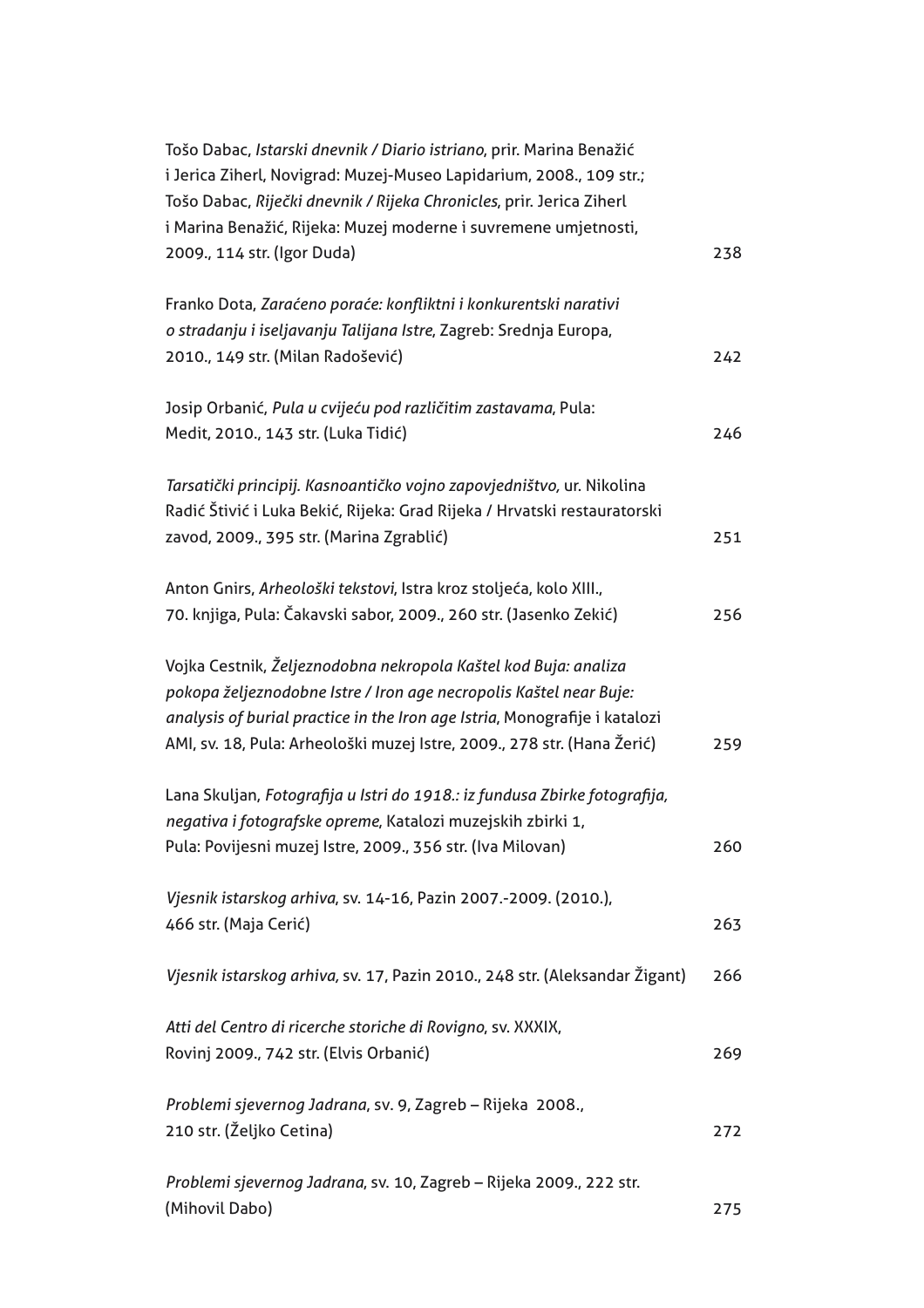| Tošo Dabac, Istarski dnevnik / Diario istriano, prir. Marina Benažić<br>i Jerica Ziherl, Novigrad: Muzej-Museo Lapidarium, 2008., 109 str.;<br>Tošo Dabac, Riječki dnevnik / Rijeka Chronicles, prir. Jerica Ziherl |     |
|---------------------------------------------------------------------------------------------------------------------------------------------------------------------------------------------------------------------|-----|
|                                                                                                                                                                                                                     |     |
| i Marina Benažić, Rijeka: Muzej moderne i suvremene umjetnosti,                                                                                                                                                     |     |
| 2009., 114 str. (Igor Duda)                                                                                                                                                                                         | 238 |
| Franko Dota, Zaraćeno poraće: konfliktni i konkurentski narativi                                                                                                                                                    |     |
| o stradanju i iseljavanju Talijana Istre, Zagreb: Srednja Europa,                                                                                                                                                   |     |
| 2010., 149 str. (Milan Radošević)                                                                                                                                                                                   | 242 |
| Josip Orbanić, Pula u cvijeću pod različitim zastavama, Pula:                                                                                                                                                       |     |
| Medit, 2010., 143 str. (Luka Tidić)                                                                                                                                                                                 | 246 |
| Tarsatički principij. Kasnoantičko vojno zapovjedništvo, ur. Nikolina                                                                                                                                               |     |
| Radić Štivić i Luka Bekić, Rijeka: Grad Rijeka / Hrvatski restauratorski                                                                                                                                            |     |
| zavod, 2009., 395 str. (Marina Zgrablić)                                                                                                                                                                            | 251 |
| Anton Gnirs, Arheološki tekstovi, Istra kroz stoljeća, kolo XIII.,                                                                                                                                                  |     |
| 70. knjiga, Pula: Čakavski sabor, 2009., 260 str. (Jasenko Zekić)                                                                                                                                                   | 256 |
| Vojka Cestnik, Željeznodobna nekropola Kaštel kod Buja: analiza                                                                                                                                                     |     |
| pokopa željeznodobne Istre / Iron age necropolis Kaštel near Buje:                                                                                                                                                  |     |
| analysis of burial practice in the Iron age Istria, Monografije i katalozi                                                                                                                                          |     |
| AMI, sv. 18, Pula: Arheološki muzej Istre, 2009., 278 str. (Hana Žerić)                                                                                                                                             | 259 |
| Lana Skuljan, Fotografija u Istri do 1918.: iz fundusa Zbirke fotografija,                                                                                                                                          |     |
| negativa i fotografske opreme, Katalozi muzejskih zbirki 1,                                                                                                                                                         |     |
| Pula: Povijesni muzej Istre, 2009., 356 str. (Iva Milovan)                                                                                                                                                          | 260 |
| Vjesnik istarskog arhiva, sv. 14-16, Pazin 2007.-2009. (2010.),                                                                                                                                                     |     |
| 466 str. (Maja Cerić)                                                                                                                                                                                               | 263 |
| Vjesnik istarskog arhiva, sv. 17, Pazin 2010., 248 str. (Aleksandar Žigant)                                                                                                                                         | 266 |
| Atti del Centro di ricerche storiche di Rovigno, sv. XXXIX,                                                                                                                                                         |     |
| Rovinj 2009., 742 str. (Elvis Orbanić)                                                                                                                                                                              | 269 |
| Problemi sjevernog Jadrana, sv. 9, Zagreb - Rijeka 2008.,                                                                                                                                                           |     |
| 210 str. (Željko Cetina)                                                                                                                                                                                            | 272 |
| Problemi sjevernog Jadrana, sv. 10, Zagreb - Rijeka 2009., 222 str.                                                                                                                                                 |     |
| (Mihovil Dabo)                                                                                                                                                                                                      | 275 |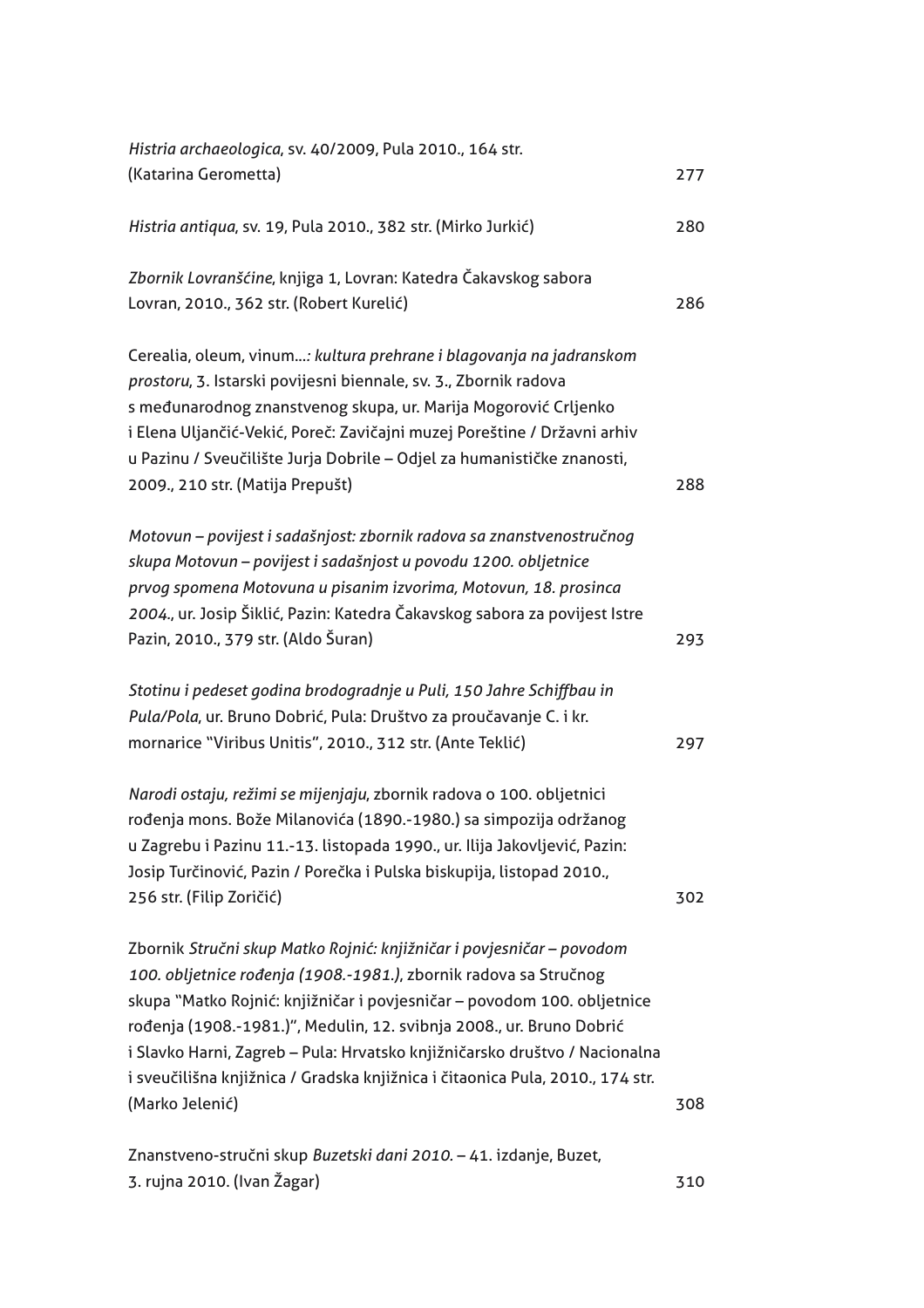| Histria archaeologica, sv. 40/2009, Pula 2010., 164 str.                                                                                                                                                                                                                                                                                                                                                                                                                        |     |
|---------------------------------------------------------------------------------------------------------------------------------------------------------------------------------------------------------------------------------------------------------------------------------------------------------------------------------------------------------------------------------------------------------------------------------------------------------------------------------|-----|
| (Katarina Gerometta)                                                                                                                                                                                                                                                                                                                                                                                                                                                            | 277 |
| Histria antiqua, sv. 19, Pula 2010., 382 str. (Mirko Jurkić)                                                                                                                                                                                                                                                                                                                                                                                                                    | 280 |
| Zbornik Lovranšćine, knjiga 1, Lovran: Katedra Čakavskog sabora<br>Lovran, 2010., 362 str. (Robert Kurelić)                                                                                                                                                                                                                                                                                                                                                                     | 286 |
| Cerealia, oleum, vinum: kultura prehrane i blagovanja na jadranskom<br>prostoru, 3. Istarski povijesni biennale, sv. 3., Zbornik radova<br>s međunarodnog znanstvenog skupa, ur. Marija Mogorović Crljenko<br>i Elena Uljančić-Vekić, Poreč: Zavičajni muzej Poreštine / Državni arhiv<br>u Pazinu / Sveučilište Jurja Dobrile - Odjel za humanističke znanosti,<br>2009., 210 str. (Matija Prepušt)                                                                            | 288 |
| Motovun - povijest i sadašnjost: zbornik radova sa znanstvenostručnog<br>skupa Motovun - povijest i sadašnjost u povodu 1200. obljetnice<br>prvog spomena Motovuna u pisanim izvorima, Motovun, 18. prosinca<br>2004., ur. Josip Šiklić, Pazin: Katedra Čakavskog sabora za povijest Istre<br>Pazin, 2010., 379 str. (Aldo Šuran)                                                                                                                                               | 293 |
| Stotinu i pedeset godina brodogradnje u Puli, 150 Jahre Schiffbau in<br>Pula/Pola, ur. Bruno Dobrić, Pula: Društvo za proučavanje C. i kr.<br>mornarice "Viribus Unitis", 2010., 312 str. (Ante Teklić)                                                                                                                                                                                                                                                                         | 297 |
| Narodi ostaju, režimi se mijenjaju, zbornik radova o 100. obljetnici<br>rođenja mons. Bože Milanovića (1890.-1980.) sa simpozija održanog<br>u Zagrebu i Pazinu 11.-13. listopada 1990., ur. Ilija Jakovljević, Pazin:<br>Josip Turčinović, Pazin / Porečka i Pulska biskupija, listopad 2010.,<br>256 str. (Filip Zoričić)                                                                                                                                                     | 302 |
| Zbornik Stručni skup Matko Rojnić: knjižničar i povjesničar - povodom<br>100. obljetnice rođenja (1908.-1981.), zbornik radova sa Stručnog<br>skupa "Matko Rojnić: knjižničar i povjesničar - povodom 100. obljetnice<br>rođenja (1908.-1981.)", Medulin, 12. svibnja 2008., ur. Bruno Dobrić<br>i Slavko Harni, Zagreb - Pula: Hrvatsko knjižničarsko društvo / Nacionalna<br>i sveučilišna knjižnica / Gradska knjižnica i čitaonica Pula, 2010., 174 str.<br>(Marko Jelenić) | 308 |
| Znanstveno-stručni skup Buzetski dani 2010. - 41. izdanje, Buzet,<br>3. rujna 2010. (Ivan Žagar)                                                                                                                                                                                                                                                                                                                                                                                | 310 |